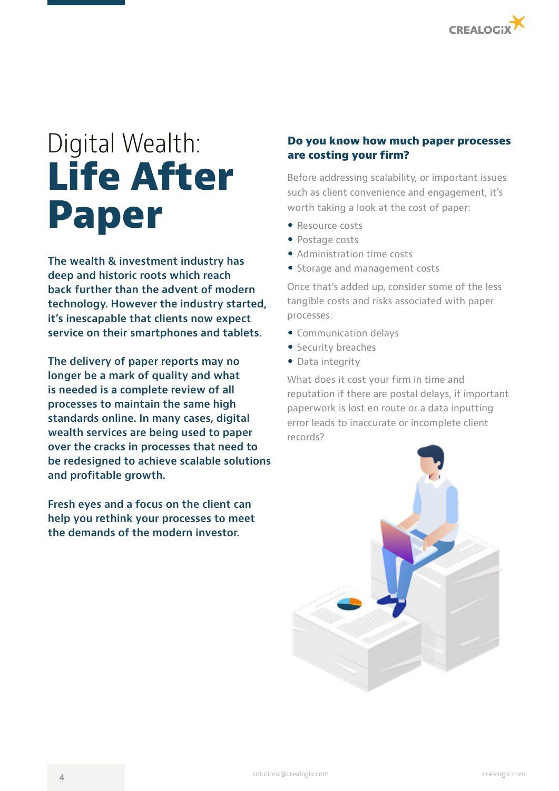

# Digital Wealth: **Life After Paper**

**The wealth & investment industry has deep and historic roots which reach back further than the advent of modern technology. However the industry started, it's inescapable that clients now expect service on their smartphones and tablets.** 

**The delivery of paper reports may no longer be a mark of quality and what is needed is a complete review of all processes to maintain the same high standards online. In many cases, digital wealth services are being used to paper over the cracks in processes that need to be redesigned to achieve scalable solutions and profitable growth.** 

**Fresh eyes and a focus on the client can help you rethink your processes to meet the demands of the modern investor.**

# **Do you know how much paper processes are costing your firm?**

Before addressing scalability, or important issues such as client convenience and engagement, it's worth taking a look at the cost of paper:

- Resource costs
- Postage costs
- Administration time costs
- Storage and management costs

Once that's added up, consider some of the less tangible costs and risks associated with paper processes:

- Communication delays
- Security breaches
- Data integrity

What does it cost your firm in time and reputation if there are postal delays, if important paperwork is lost en route or a data inputting error leads to inaccurate or incomplete client records?

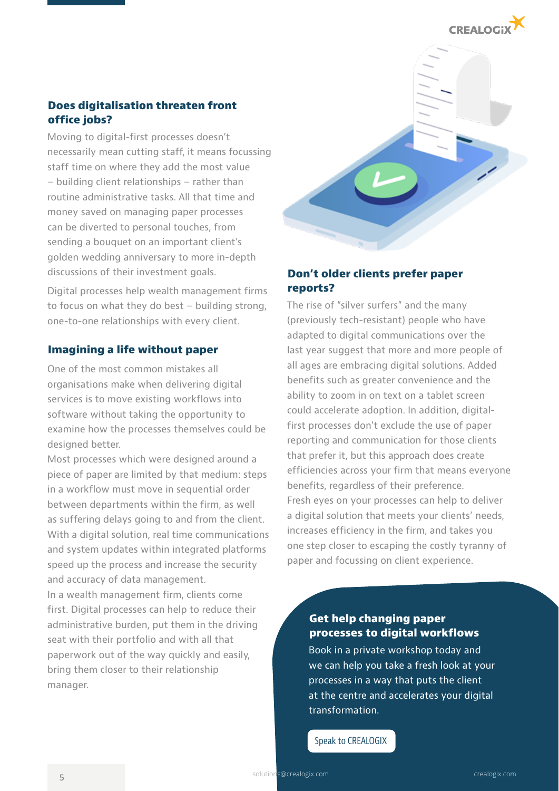

## **Does digitalisation threaten front office jobs?**

Moving to digital-first processes doesn't necessarily mean cutting staff, it means focussing staff time on where they add the most value – building client relationships – rather than routine administrative tasks. All that time and money saved on managing paper processes can be diverted to personal touches, from sending a bouquet on an important client's golden wedding anniversary to more in-depth discussions of their investment goals.

Digital processes help wealth management firms to focus on what they do best – building strong, one-to-one relationships with every client.

#### **Imagining a life without paper**

One of the most common mistakes all organisations make when delivering digital services is to move existing workflows into software without taking the opportunity to examine how the processes themselves could be designed better.

Most processes which were designed around a piece of paper are limited by that medium: steps in a workflow must move in sequential order between departments within the firm, as well as suffering delays going to and from the client. With a digital solution, real time communications and system updates within integrated platforms speed up the process and increase the security and accuracy of data management.

In a wealth management firm, clients come first. Digital processes can help to reduce their administrative burden, put them in the driving seat with their portfolio and with all that paperwork out of the way quickly and easily, bring them closer to their relationship manager.



### **Don't older clients prefer paper reports?**

The rise of "silver surfers" and the many (previously tech-resistant) people who have adapted to digital communications over the last year suggest that more and more people of all ages are embracing digital solutions. Added benefits such as greater convenience and the ability to zoom in on text on a tablet screen could accelerate adoption. In addition, digitalfirst processes don't exclude the use of paper reporting and communication for those clients that prefer it, but this approach does create efficiencies across your firm that means everyone benefits, regardless of their preference. Fresh eyes on your processes can help to deliver a digital solution that meets your clients' needs, increases efficiency in the firm, and takes you one step closer to escaping the costly tyranny of paper and focussing on client experience.

#### **Get help changing paper processes to digital workflows**

Book in a private workshop today and we can help you take a fresh look at your processes in a way that puts the client at the centre and accelerates your digital transformation.

Speak to CREALOGIX